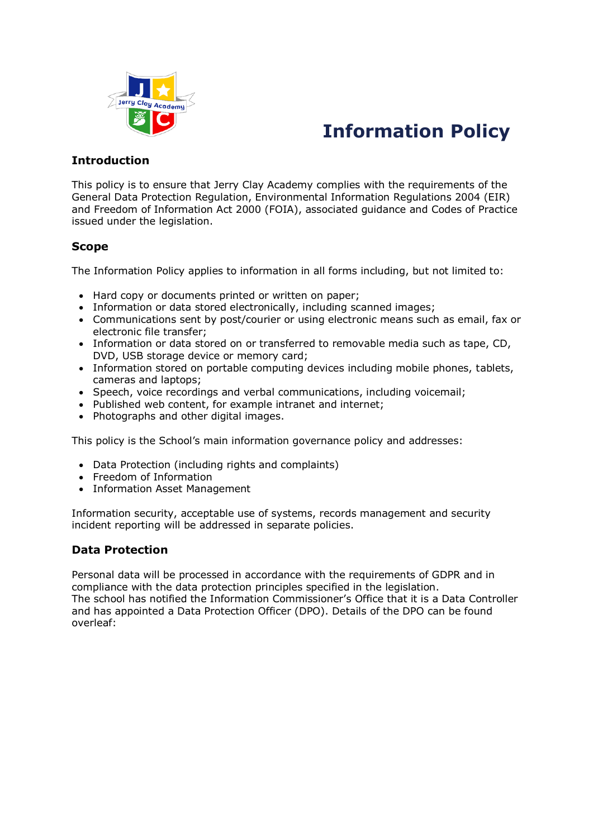

# **Information Policy**

## **Introduction**

This policy is to ensure that Jerry Clay Academy complies with the requirements of the General Data Protection Regulation, Environmental Information Regulations 2004 (EIR) and Freedom of Information Act 2000 (FOIA), associated guidance and Codes of Practice issued under the legislation.

# **Scope**

The Information Policy applies to information in all forms including, but not limited to:

- Hard copy or documents printed or written on paper;
- Information or data stored electronically, including scanned images;
- Communications sent by post/courier or using electronic means such as email, fax or electronic file transfer;
- Information or data stored on or transferred to removable media such as tape, CD, DVD, USB storage device or memory card;
- Information stored on portable computing devices including mobile phones, tablets, cameras and laptops;
- Speech, voice recordings and verbal communications, including voicemail;
- Published web content, for example intranet and internet;
- Photographs and other digital images.

This policy is the School's main information governance policy and addresses:

- Data Protection (including rights and complaints)
- Freedom of Information
- Information Asset Management

Information security, acceptable use of systems, records management and security incident reporting will be addressed in separate policies.

## **Data Protection**

Personal data will be processed in accordance with the requirements of GDPR and in compliance with the data protection principles specified in the legislation. The school has notified the Information Commissioner's Office that it is a Data Controller and has appointed a Data Protection Officer (DPO). Details of the DPO can be found overleaf: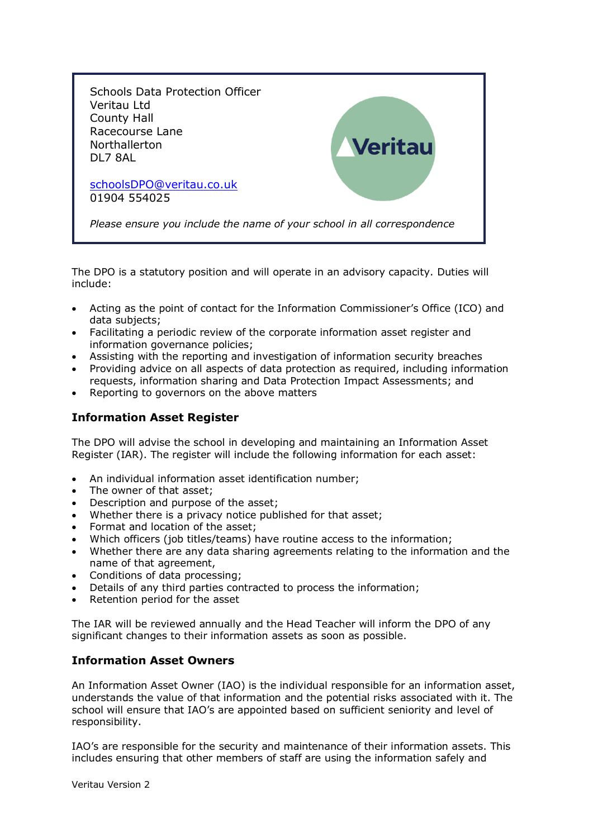

The DPO is a statutory position and will operate in an advisory capacity. Duties will include:

- Acting as the point of contact for the Information Commissioner's Office (ICO) and data subjects;
- Facilitating a periodic review of the corporate information asset register and information governance policies;
- Assisting with the reporting and investigation of information security breaches
- Providing advice on all aspects of data protection as required, including information requests, information sharing and Data Protection Impact Assessments; and
- Reporting to governors on the above matters

## **Information Asset Register**

The DPO will advise the school in developing and maintaining an Information Asset Register (IAR). The register will include the following information for each asset:

- An individual information asset identification number;
- The owner of that asset;
- Description and purpose of the asset;
- Whether there is a privacy notice published for that asset;
- Format and location of the asset;
- Which officers (job titles/teams) have routine access to the information;
- Whether there are any data sharing agreements relating to the information and the name of that agreement,
- Conditions of data processing;
- Details of any third parties contracted to process the information;
- Retention period for the asset

The IAR will be reviewed annually and the Head Teacher will inform the DPO of any significant changes to their information assets as soon as possible.

#### **Information Asset Owners**

An Information Asset Owner (IAO) is the individual responsible for an information asset, understands the value of that information and the potential risks associated with it. The school will ensure that IAO's are appointed based on sufficient seniority and level of responsibility.

IAO's are responsible for the security and maintenance of their information assets. This includes ensuring that other members of staff are using the information safely and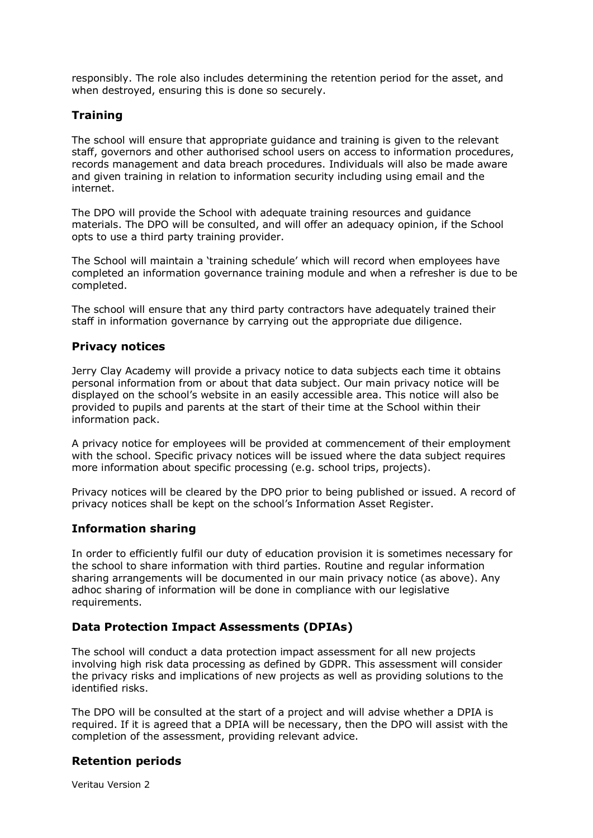responsibly. The role also includes determining the retention period for the asset, and when destroyed, ensuring this is done so securely.

## **Training**

The school will ensure that appropriate guidance and training is given to the relevant staff, governors and other authorised school users on access to information procedures, records management and data breach procedures. Individuals will also be made aware and given training in relation to information security including using email and the internet.

The DPO will provide the School with adequate training resources and guidance materials. The DPO will be consulted, and will offer an adequacy opinion, if the School opts to use a third party training provider.

The School will maintain a 'training schedule' which will record when employees have completed an information governance training module and when a refresher is due to be completed.

The school will ensure that any third party contractors have adequately trained their staff in information governance by carrying out the appropriate due diligence.

#### **Privacy notices**

Jerry Clay Academy will provide a privacy notice to data subjects each time it obtains personal information from or about that data subject. Our main privacy notice will be displayed on the school's website in an easily accessible area. This notice will also be provided to pupils and parents at the start of their time at the School within their information pack.

A privacy notice for employees will be provided at commencement of their employment with the school. Specific privacy notices will be issued where the data subject requires more information about specific processing (e.g. school trips, projects).

Privacy notices will be cleared by the DPO prior to being published or issued. A record of privacy notices shall be kept on the school's Information Asset Register.

#### **Information sharing**

In order to efficiently fulfil our duty of education provision it is sometimes necessary for the school to share information with third parties. Routine and regular information sharing arrangements will be documented in our main privacy notice (as above). Any adhoc sharing of information will be done in compliance with our legislative requirements.

#### **Data Protection Impact Assessments (DPIAs)**

The school will conduct a data protection impact assessment for all new projects involving high risk data processing as defined by GDPR. This assessment will consider the privacy risks and implications of new projects as well as providing solutions to the identified risks.

The DPO will be consulted at the start of a project and will advise whether a DPIA is required. If it is agreed that a DPIA will be necessary, then the DPO will assist with the completion of the assessment, providing relevant advice.

#### **Retention periods**

Veritau Version 2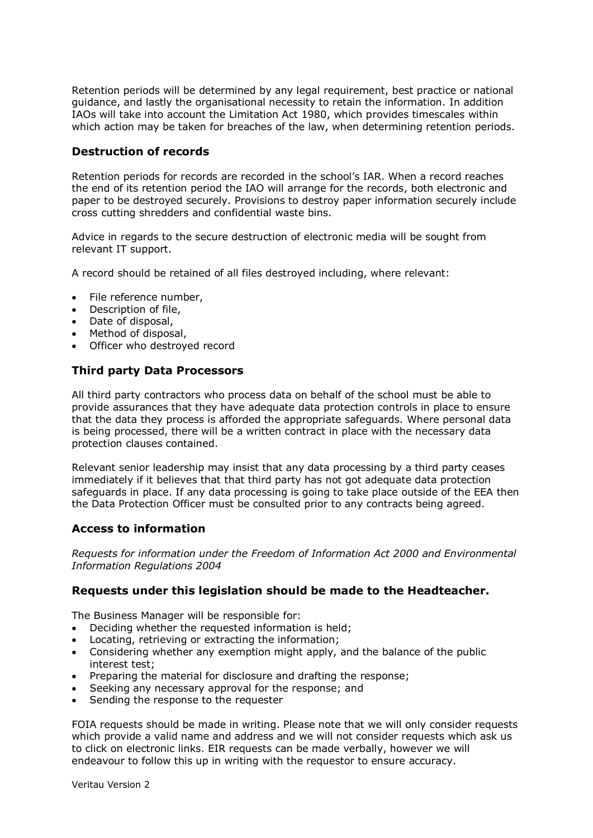Retention periods will be determined by any legal requirement, best practice or national guidance, and lastly the organisational necessity to retain the information. In addition IAOs will take into account the Limitation Act 1980, which provides timescales within which action may be taken for breaches of the law, when determining retention periods.

## **Destruction of records**

Retention periods for records are recorded in the school's IAR. When a record reaches the end of its retention period the IAO will arrange for the records, both electronic and paper to be destroyed securely. Provisions to destroy paper information securely include cross cutting shredders and confidential waste bins.

Advice in regards to the secure destruction of electronic media will be sought from relevant IT support.

A record should be retained of all files destroyed including, where relevant:

- File reference number,
- Description of file,
- Date of disposal,
- Method of disposal.
- Officer who destroyed record

## **Third party Data Processors**

All third party contractors who process data on behalf of the school must be able to provide assurances that they have adequate data protection controls in place to ensure that the data they process is afforded the appropriate safeguards. Where personal data is being processed, there will be a written contract in place with the necessary data protection clauses contained.

Relevant senior leadership may insist that any data processing by a third party ceases immediately if it believes that that third party has not got adequate data protection safeguards in place. If any data processing is going to take place outside of the EEA then the Data Protection Officer must be consulted prior to any contracts being agreed.

## **Access to information**

*Requests for information under the Freedom of Information Act 2000 and Environmental Information Regulations 2004*

#### **Requests under this legislation should be made to the Headteacher.**

The Business Manager will be responsible for:

- Deciding whether the requested information is held;
- Locating, retrieving or extracting the information;
- Considering whether any exemption might apply, and the balance of the public interest test;
- Preparing the material for disclosure and drafting the response;
- Seeking any necessary approval for the response; and
- Sending the response to the requester

FOIA requests should be made in writing. Please note that we will only consider requests which provide a valid name and address and we will not consider requests which ask us to click on electronic links. EIR requests can be made verbally, however we will endeavour to follow this up in writing with the requestor to ensure accuracy.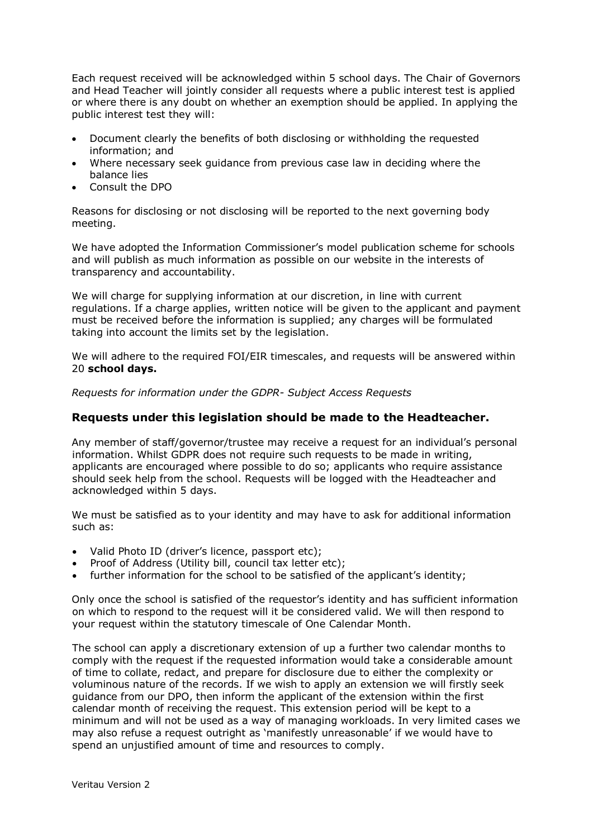Each request received will be acknowledged within 5 school days. The Chair of Governors and Head Teacher will jointly consider all requests where a public interest test is applied or where there is any doubt on whether an exemption should be applied. In applying the public interest test they will:

- Document clearly the benefits of both disclosing or withholding the requested information; and
- Where necessary seek guidance from previous case law in deciding where the balance lies
- Consult the DPO

Reasons for disclosing or not disclosing will be reported to the next governing body meeting.

We have adopted the Information Commissioner's model publication scheme for schools and will publish as much information as possible on our website in the interests of transparency and accountability.

We will charge for supplying information at our discretion, in line with current regulations. If a charge applies, written notice will be given to the applicant and payment must be received before the information is supplied; any charges will be formulated taking into account the limits set by the legislation.

We will adhere to the required FOI/EIR timescales, and requests will be answered within 20 **school days.**

*Requests for information under the GDPR- Subject Access Requests*

#### **Requests under this legislation should be made to the Headteacher.**

Any member of staff/governor/trustee may receive a request for an individual's personal information. Whilst GDPR does not require such requests to be made in writing, applicants are encouraged where possible to do so; applicants who require assistance should seek help from the school. Requests will be logged with the Headteacher and acknowledged within 5 days.

We must be satisfied as to your identity and may have to ask for additional information such as:

- Valid Photo ID (driver's licence, passport etc);
- Proof of Address (Utility bill, council tax letter etc);
- further information for the school to be satisfied of the applicant's identity;

Only once the school is satisfied of the requestor's identity and has sufficient information on which to respond to the request will it be considered valid. We will then respond to your request within the statutory timescale of One Calendar Month.

The school can apply a discretionary extension of up a further two calendar months to comply with the request if the requested information would take a considerable amount of time to collate, redact, and prepare for disclosure due to either the complexity or voluminous nature of the records. If we wish to apply an extension we will firstly seek guidance from our DPO, then inform the applicant of the extension within the first calendar month of receiving the request. This extension period will be kept to a minimum and will not be used as a way of managing workloads. In very limited cases we may also refuse a request outright as 'manifestly unreasonable' if we would have to spend an unjustified amount of time and resources to comply.